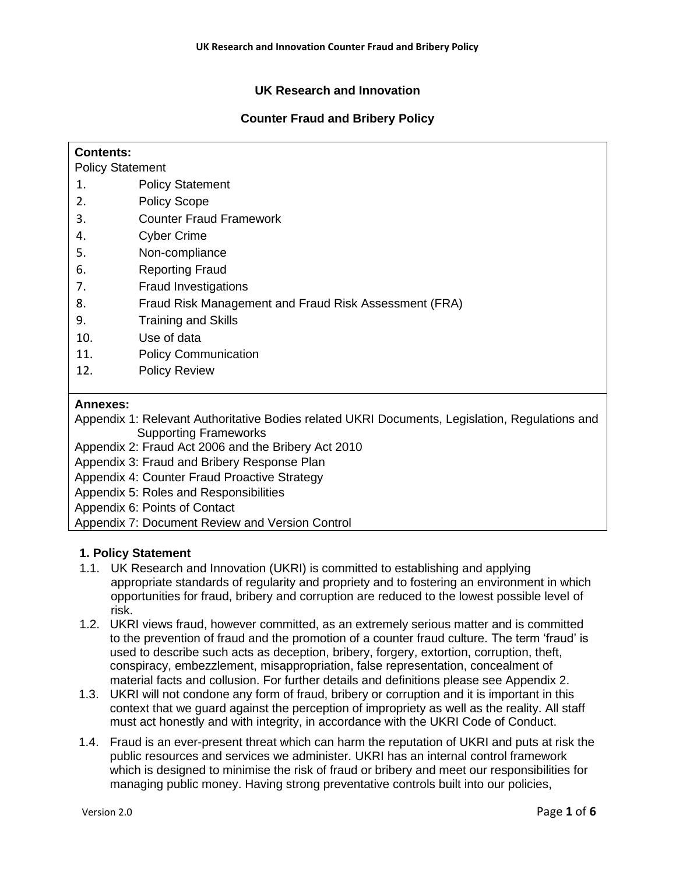## **UK Research and Innovation**

## **Counter Fraud and Bribery Policy**

| <b>Contents:</b><br><b>Policy Statement</b> |                                                       |  |  |
|---------------------------------------------|-------------------------------------------------------|--|--|
| 1.                                          | <b>Policy Statement</b>                               |  |  |
| 2.                                          | <b>Policy Scope</b>                                   |  |  |
| 3.                                          | <b>Counter Fraud Framework</b>                        |  |  |
| 4.                                          | <b>Cyber Crime</b>                                    |  |  |
| 5.                                          | Non-compliance                                        |  |  |
| 6.                                          | <b>Reporting Fraud</b>                                |  |  |
| 7.                                          | <b>Fraud Investigations</b>                           |  |  |
| 8.                                          | Fraud Risk Management and Fraud Risk Assessment (FRA) |  |  |
| 9.                                          | <b>Training and Skills</b>                            |  |  |
| 10.                                         | Use of data                                           |  |  |
| 11.                                         | <b>Policy Communication</b>                           |  |  |
| 12.                                         | <b>Policy Review</b>                                  |  |  |
|                                             |                                                       |  |  |

## **Annexes:**

Appendix 1: Relevant Authoritative Bodies related UKRI Documents, Legislation, Regulations and Supporting Frameworks

Appendix 2: Fraud Act 2006 and the Bribery Act 2010

Appendix 3: Fraud and Bribery Response Plan

Appendix 4: Counter Fraud Proactive Strategy

Appendix 5: Roles and Responsibilities

Appendix 6: Points of Contact

Appendix 7: Document Review and Version Control

## **1. Policy Statement**

- 1.1. UK Research and Innovation (UKRI) is committed to establishing and applying appropriate standards of regularity and propriety and to fostering an environment in which opportunities for fraud, bribery and corruption are reduced to the lowest possible level of risk.
- 1.2. UKRI views fraud, however committed, as an extremely serious matter and is committed to the prevention of fraud and the promotion of a counter fraud culture. The term 'fraud' is used to describe such acts as deception, bribery, forgery, extortion, corruption, theft, conspiracy, embezzlement, misappropriation, false representation, concealment of material facts and collusion. For further details and definitions please see Appendix 2.
- 1.3. UKRI will not condone any form of fraud, bribery or corruption and it is important in this context that we guard against the perception of impropriety as well as the reality. All staff must act honestly and with integrity, in accordance with the UKRI Code of Conduct.
- 1.4. Fraud is an ever-present threat which can harm the reputation of UKRI and puts at risk the public resources and services we administer. UKRI has an internal control framework which is designed to minimise the risk of fraud or bribery and meet our responsibilities for managing public money. Having strong preventative controls built into our policies,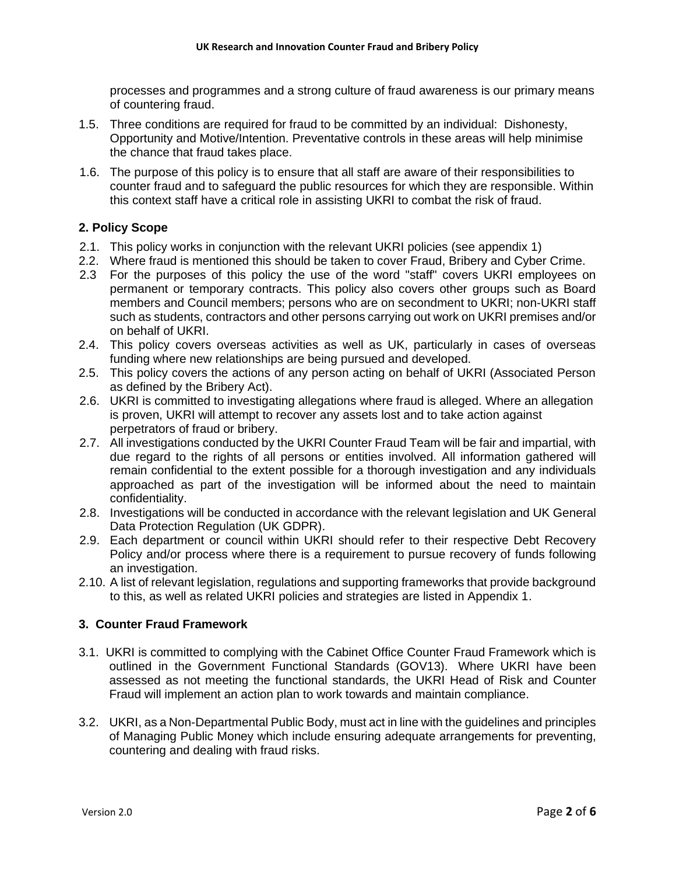processes and programmes and a strong culture of fraud awareness is our primary means of countering fraud.

- 1.5. Three conditions are required for fraud to be committed by an individual: Dishonesty, Opportunity and Motive/Intention. Preventative controls in these areas will help minimise the chance that fraud takes place.
- 1.6. The purpose of this policy is to ensure that all staff are aware of their responsibilities to counter fraud and to safeguard the public resources for which they are responsible. Within this context staff have a critical role in assisting UKRI to combat the risk of fraud.

## **2. Policy Scope**

- 2.1. This policy works in conjunction with the relevant UKRI policies (see appendix 1)
- 2.2. Where fraud is mentioned this should be taken to cover Fraud, Bribery and Cyber Crime.
- 2.3 For the purposes of this policy the use of the word "staff" covers UKRI employees on permanent or temporary contracts. This policy also covers other groups such as Board members and Council members; persons who are on secondment to UKRI; non-UKRI staff such as students, contractors and other persons carrying out work on UKRI premises and/or on behalf of UKRI.
- 2.4. This policy covers overseas activities as well as UK, particularly in cases of overseas funding where new relationships are being pursued and developed.
- 2.5. This policy covers the actions of any person acting on behalf of UKRI (Associated Person as defined by the Bribery Act).
- 2.6. UKRI is committed to investigating allegations where fraud is alleged. Where an allegation is proven, UKRI will attempt to recover any assets lost and to take action against perpetrators of fraud or bribery.
- 2.7. All investigations conducted by the UKRI Counter Fraud Team will be fair and impartial, with due regard to the rights of all persons or entities involved. All information gathered will remain confidential to the extent possible for a thorough investigation and any individuals approached as part of the investigation will be informed about the need to maintain confidentiality.
- 2.8. Investigations will be conducted in accordance with the relevant legislation and UK General Data Protection Regulation (UK GDPR).
- 2.9. Each department or council within UKRI should refer to their respective Debt Recovery Policy and/or process where there is a requirement to pursue recovery of funds following an investigation.
- 2.10. A list of relevant legislation, regulations and supporting frameworks that provide background to this, as well as related UKRI policies and strategies are listed in Appendix 1.

## **3. Counter Fraud Framework**

- 3.1. UKRI is committed to complying with the Cabinet Office Counter Fraud Framework which is outlined in the Government Functional Standards (GOV13). Where UKRI have been assessed as not meeting the functional standards, the UKRI Head of Risk and Counter Fraud will implement an action plan to work towards and maintain compliance.
- 3.2. UKRI, as a Non-Departmental Public Body, must act in line with the guidelines and principles of Managing Public Money which include ensuring adequate arrangements for preventing, countering and dealing with fraud risks.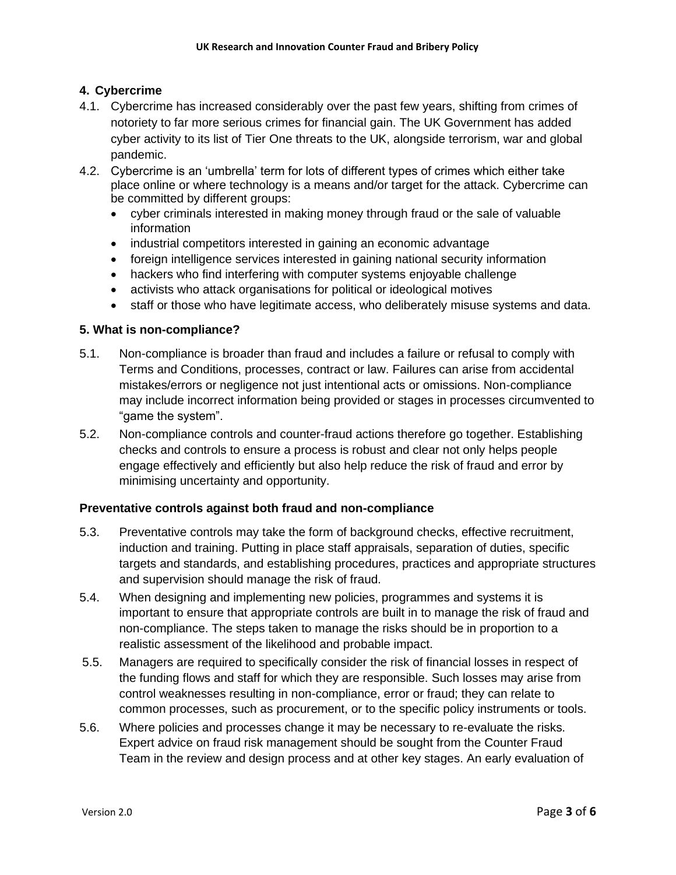# **4. Cybercrime**

- 4.1. Cybercrime has increased considerably over the past few years, shifting from crimes of notoriety to far more serious crimes for financial gain. The UK Government has added cyber activity to its list of Tier One threats to the UK, alongside terrorism, war and global pandemic.
- 4.2. Cybercrime is an 'umbrella' term for lots of different types of crimes which either take place online or where technology is a means and/or target for the attack. Cybercrime can be committed by different groups:
	- cyber criminals interested in making money through fraud or the sale of valuable information
	- industrial competitors interested in gaining an economic advantage
	- foreign intelligence services interested in gaining national security information
	- hackers who find interfering with computer systems enjoyable challenge
	- activists who attack organisations for political or ideological motives
	- staff or those who have legitimate access, who deliberately misuse systems and data.

#### **5. What is non-compliance?**

- 5.1. Non-compliance is broader than fraud and includes a failure or refusal to comply with Terms and Conditions, processes, contract or law. Failures can arise from accidental mistakes/errors or negligence not just intentional acts or omissions. Non-compliance may include incorrect information being provided or stages in processes circumvented to "game the system".
- 5.2. Non-compliance controls and counter-fraud actions therefore go together. Establishing checks and controls to ensure a process is robust and clear not only helps people engage effectively and efficiently but also help reduce the risk of fraud and error by minimising uncertainty and opportunity.

## **Preventative controls against both fraud and non-compliance**

- 5.3. Preventative controls may take the form of background checks, effective recruitment, induction and training. Putting in place staff appraisals, separation of duties, specific targets and standards, and establishing procedures, practices and appropriate structures and supervision should manage the risk of fraud.
- 5.4. When designing and implementing new policies, programmes and systems it is important to ensure that appropriate controls are built in to manage the risk of fraud and non-compliance. The steps taken to manage the risks should be in proportion to a realistic assessment of the likelihood and probable impact.
- 5.5. Managers are required to specifically consider the risk of financial losses in respect of the funding flows and staff for which they are responsible. Such losses may arise from control weaknesses resulting in non-compliance, error or fraud; they can relate to common processes, such as procurement, or to the specific policy instruments or tools.
- 5.6. Where policies and processes change it may be necessary to re-evaluate the risks. Expert advice on fraud risk management should be sought from the Counter Fraud Team in the review and design process and at other key stages. An early evaluation of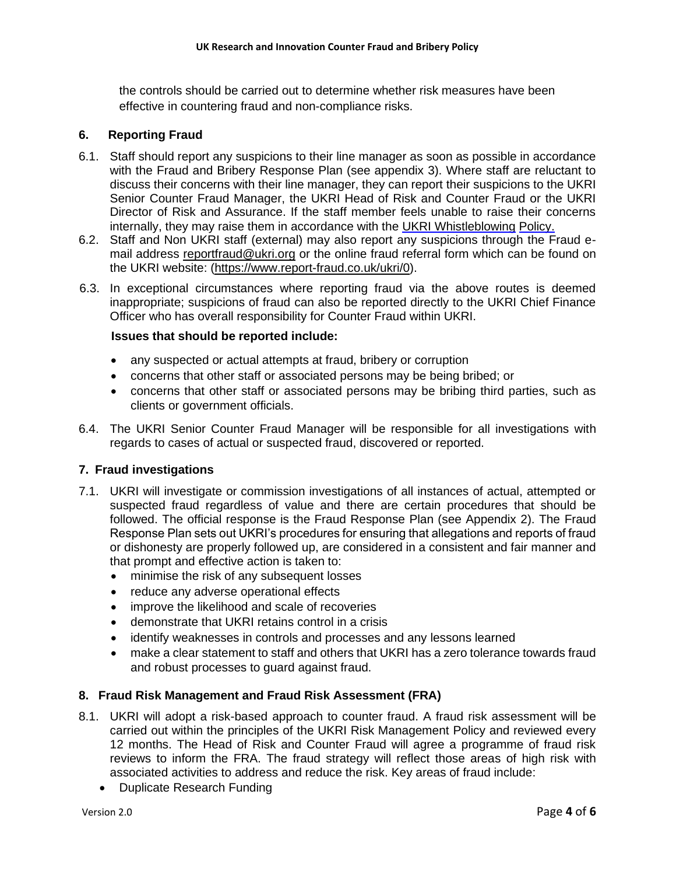the controls should be carried out to determine whether risk measures have been effective in countering fraud and non-compliance risks.

## **6. Reporting Fraud**

- 6.1. Staff should report any suspicions to their line manager as soon as possible in accordance with the Fraud and Bribery Response Plan (see appendix 3). Where staff are reluctant to discuss their concerns with their line manager, they can report their suspicions to the UKRI Senior Counter Fraud Manager, the UKRI Head of Risk and Counter Fraud or the UKRI Director of Risk and Assurance. If the staff member feels unable to raise their concerns internally, they may raise them in accordance with the [UKRI Whistleblowing](https://www.ukri.org/files/termsconditions/rcukukriterms/whistleblowing-pdf/) [Policy.](https://www.ukri.org/files/termsconditions/rcukukriterms/whistleblowing-pdf/)
- 6.2. Staff and Non UKRI staff (external) may also report any suspicions through the Fraud email address [reportfraud@ukri.org](mailto:reportfraud@ukri.org) or the online fraud referral form which can be found on the UKRI website: [\(https://www.report-fraud.co.uk/ukri/0\)](https://www.report-fraud.co.uk/ukri/0).
- 6.3. In exceptional circumstances where reporting fraud via the above routes is deemed inappropriate; suspicions of fraud can also be reported directly to the UKRI Chief Finance Officer who has overall responsibility for Counter Fraud within UKRI.

#### **Issues that should be reported include:**

- any suspected or actual attempts at fraud, bribery or corruption
- concerns that other staff or associated persons may be being bribed; or
- concerns that other staff or associated persons may be bribing third parties, such as clients or government officials.
- 6.4. The UKRI Senior Counter Fraud Manager will be responsible for all investigations with regards to cases of actual or suspected fraud, discovered or reported.

#### **7. Fraud investigations**

- 7.1. UKRI will investigate or commission investigations of all instances of actual, attempted or suspected fraud regardless of value and there are certain procedures that should be followed. The official response is the Fraud Response Plan (see Appendix 2). The Fraud Response Plan sets out UKRI's procedures for ensuring that allegations and reports of fraud or dishonesty are properly followed up, are considered in a consistent and fair manner and that prompt and effective action is taken to:
	- minimise the risk of any subsequent losses
	- reduce any adverse operational effects
	- improve the likelihood and scale of recoveries
	- demonstrate that UKRI retains control in a crisis
	- identify weaknesses in controls and processes and any lessons learned
	- make a clear statement to staff and others that UKRI has a zero tolerance towards fraud and robust processes to guard against fraud.

#### **8. Fraud Risk Management and Fraud Risk Assessment (FRA)**

- 8.1. UKRI will adopt a risk-based approach to counter fraud. A fraud risk assessment will be carried out within the principles of the UKRI Risk Management Policy and reviewed every 12 months. The Head of Risk and Counter Fraud will agree a programme of fraud risk reviews to inform the FRA. The fraud strategy will reflect those areas of high risk with associated activities to address and reduce the risk. Key areas of fraud include:
	- Duplicate Research Funding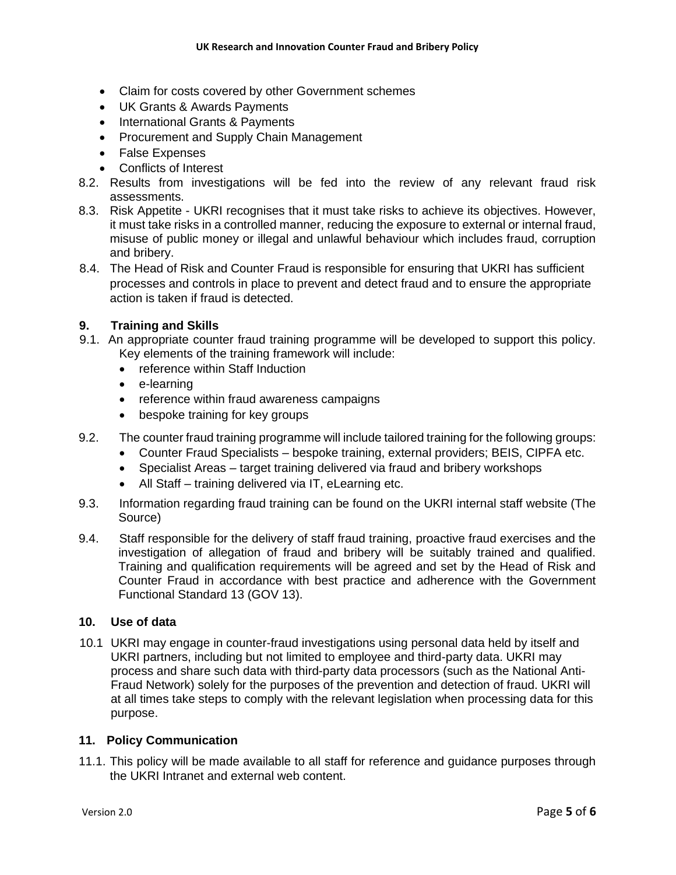- Claim for costs covered by other Government schemes
- UK Grants & Awards Payments
- International Grants & Payments
- Procurement and Supply Chain Management
- False Expenses
- Conflicts of Interest
- 8.2. Results from investigations will be fed into the review of any relevant fraud risk assessments.
- 8.3. Risk Appetite UKRI recognises that it must take risks to achieve its objectives. However, it must take risks in a controlled manner, reducing the exposure to external or internal fraud, misuse of public money or illegal and unlawful behaviour which includes fraud, corruption and bribery.
- 8.4. The Head of Risk and Counter Fraud is responsible for ensuring that UKRI has sufficient processes and controls in place to prevent and detect fraud and to ensure the appropriate action is taken if fraud is detected.

## **9. Training and Skills**

- 9.1. An appropriate counter fraud training programme will be developed to support this policy. Key elements of the training framework will include:
	- reference within Staff Induction
	- e-learning
	- reference within fraud awareness campaigns
	- bespoke training for key groups
- 9.2. The counter fraud training programme will include tailored training for the following groups:
	- Counter Fraud Specialists bespoke training, external providers; BEIS, CIPFA etc.
	- Specialist Areas target training delivered via fraud and bribery workshops
	- All Staff training delivered via IT, eLearning etc.
- 9.3. Information regarding fraud training can be found on the UKRI internal staff website (The Source)
- 9.4. Staff responsible for the delivery of staff fraud training, proactive fraud exercises and the investigation of allegation of fraud and bribery will be suitably trained and qualified. Training and qualification requirements will be agreed and set by the Head of Risk and Counter Fraud in accordance with best practice and adherence with the Government Functional Standard 13 (GOV 13).

#### **10. Use of data**

10.1 UKRI may engage in counter-fraud investigations using personal data held by itself and UKRI partners, including but not limited to employee and third-party data. UKRI may process and share such data with third-party data processors (such as the National Anti-Fraud Network) solely for the purposes of the prevention and detection of fraud. UKRI will at all times take steps to comply with the relevant legislation when processing data for this purpose.

#### **11. Policy Communication**

11.1. This policy will be made available to all staff for reference and guidance purposes through the UKRI Intranet and external web content.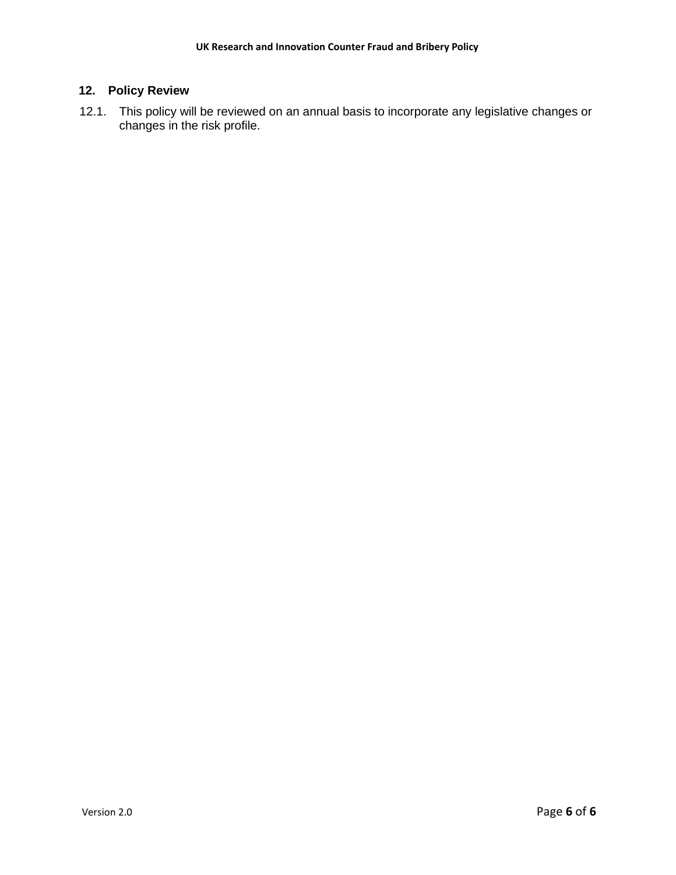# **12. Policy Review**

12.1. This policy will be reviewed on an annual basis to incorporate any legislative changes or changes in the risk profile.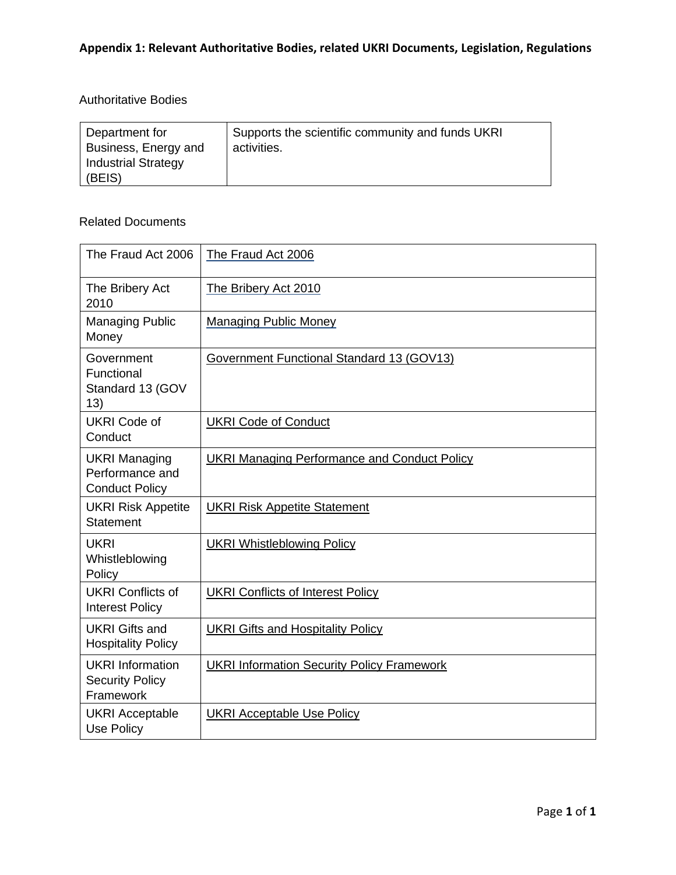# Authoritative Bodies

| Department for       | Supports the scientific community and funds UKRI |
|----------------------|--------------------------------------------------|
| Business, Energy and | activities.                                      |
| Industrial Strategy  |                                                  |
| (BEIS)               |                                                  |

# Related Documents

| The Fraud Act 2006                                               | The Fraud Act 2006                                  |
|------------------------------------------------------------------|-----------------------------------------------------|
| The Bribery Act<br>2010                                          | The Bribery Act 2010                                |
| <b>Managing Public</b><br>Money                                  | <b>Managing Public Money</b>                        |
| Government<br>Functional<br>Standard 13 (GOV<br>13)              | Government Functional Standard 13 (GOV13)           |
| <b>UKRI Code of</b><br>Conduct                                   | <b>UKRI Code of Conduct</b>                         |
| <b>UKRI Managing</b><br>Performance and<br><b>Conduct Policy</b> | <b>UKRI Managing Performance and Conduct Policy</b> |
| <b>UKRI Risk Appetite</b><br><b>Statement</b>                    | <b>UKRI Risk Appetite Statement</b>                 |
| <b>UKRI</b><br>Whistleblowing<br>Policy                          | <b>UKRI Whistleblowing Policy</b>                   |
| <b>UKRI Conflicts of</b><br><b>Interest Policy</b>               | <b>UKRI Conflicts of Interest Policy</b>            |
| <b>UKRI Gifts and</b><br><b>Hospitality Policy</b>               | <b>UKRI Gifts and Hospitality Policy</b>            |
| <b>UKRI Information</b><br><b>Security Policy</b><br>Framework   | <b>UKRI Information Security Policy Framework</b>   |
| <b>UKRI Acceptable</b><br>Use Policy                             | <b>UKRI Acceptable Use Policy</b>                   |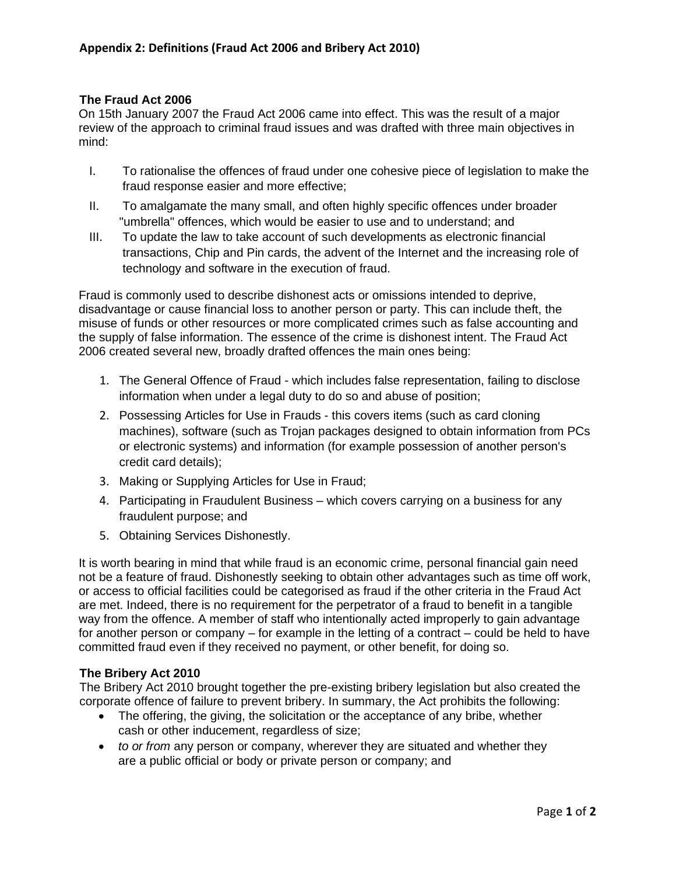## **The Fraud Act 2006**

On 15th January 2007 the Fraud Act 2006 came into effect. This was the result of a major review of the approach to criminal fraud issues and was drafted with three main objectives in mind:

- I. To rationalise the offences of fraud under one cohesive piece of legislation to make the fraud response easier and more effective;
- II. To amalgamate the many small, and often highly specific offences under broader "umbrella" offences, which would be easier to use and to understand; and
- III. To update the law to take account of such developments as electronic financial transactions, Chip and Pin cards, the advent of the Internet and the increasing role of technology and software in the execution of fraud.

Fraud is commonly used to describe dishonest acts or omissions intended to deprive, disadvantage or cause financial loss to another person or party. This can include theft, the misuse of funds or other resources or more complicated crimes such as false accounting and the supply of false information. The essence of the crime is dishonest intent. The Fraud Act 2006 created several new, broadly drafted offences the main ones being:

- 1. The General Offence of Fraud which includes false representation, failing to disclose information when under a legal duty to do so and abuse of position;
- 2. Possessing Articles for Use in Frauds this covers items (such as card cloning machines), software (such as Trojan packages designed to obtain information from PCs or electronic systems) and information (for example possession of another person's credit card details);
- 3. Making or Supplying Articles for Use in Fraud;
- 4. Participating in Fraudulent Business which covers carrying on a business for any fraudulent purpose; and
- 5. Obtaining Services Dishonestly.

It is worth bearing in mind that while fraud is an economic crime, personal financial gain need not be a feature of fraud. Dishonestly seeking to obtain other advantages such as time off work, or access to official facilities could be categorised as fraud if the other criteria in the Fraud Act are met. Indeed, there is no requirement for the perpetrator of a fraud to benefit in a tangible way from the offence. A member of staff who intentionally acted improperly to gain advantage for another person or company – for example in the letting of a contract – could be held to have committed fraud even if they received no payment, or other benefit, for doing so.

## **The Bribery Act 2010**

The Bribery Act 201[0](http://www.legislation.gov.uk/ukpga/2010/23/pdfs/ukpga_20100023_en.pdf) brought together the pre-existing bribery legislation but also created the corporate offence of failure to prevent bribery. In summary, the Act prohibits the following:

- The offering, the giving, the solicitation or the acceptance of any bribe, whether cash or other inducement, regardless of size;
- *to or from* any person or company, wherever they are situated and whether they are a public official or body or private person or company; and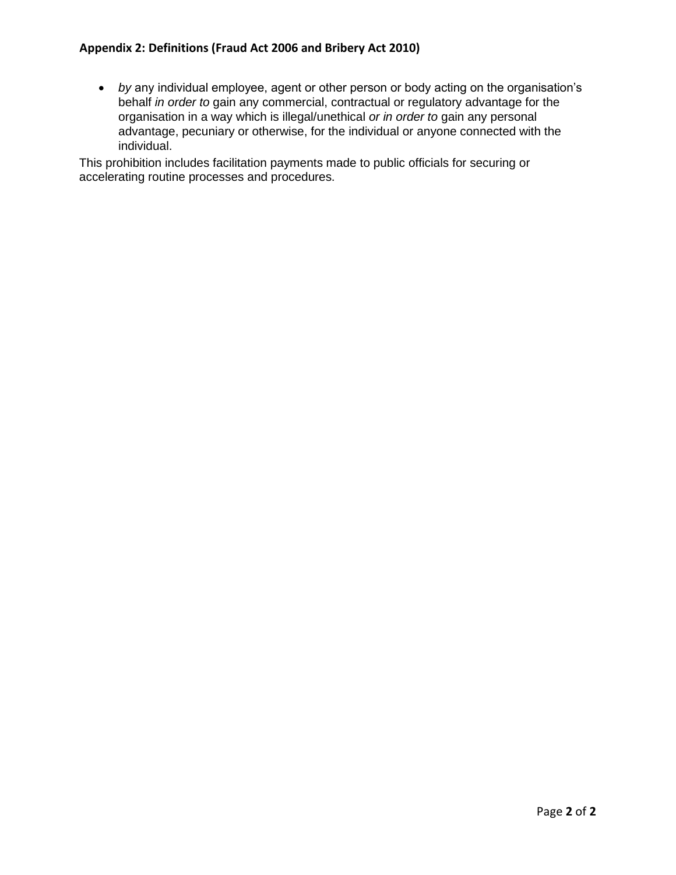## **Appendix 2: Definitions (Fraud Act 2006 and Bribery Act 2010)**

• *by* any individual employee, agent or other person or body acting on the organisation's behalf *in order to* gain any commercial, contractual or regulatory advantage for the organisation in a way which is illegal/unethical *or in order to* gain any personal advantage, pecuniary or otherwise, for the individual or anyone connected with the individual.

This prohibition includes facilitation payments made to public officials for securing or accelerating routine processes and procedures.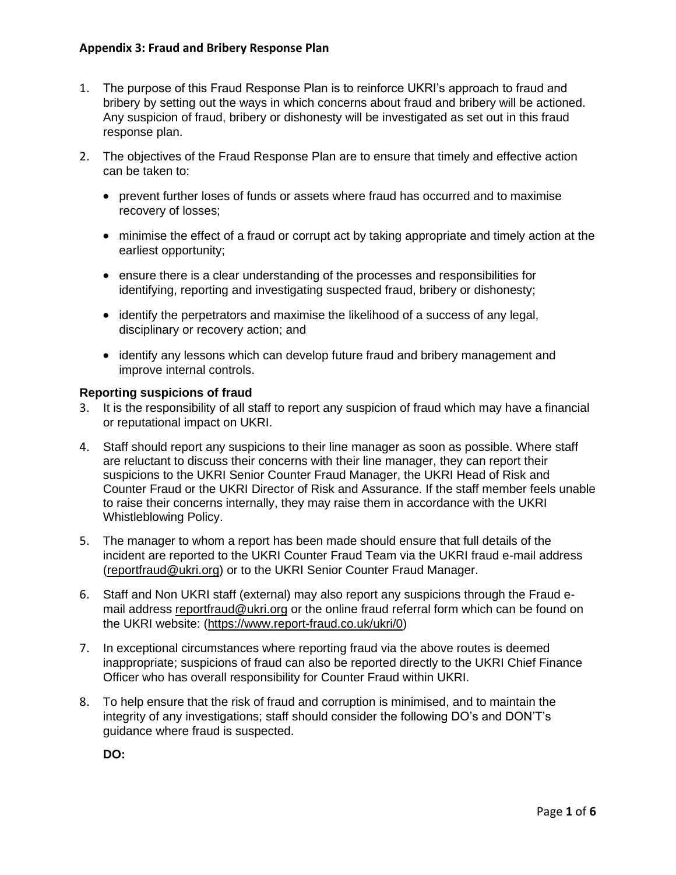## **Appendix 3: Fraud and Bribery Response Plan**

- 1. The purpose of this Fraud Response Plan is to reinforce UKRI's approach to fraud and bribery by setting out the ways in which concerns about fraud and bribery will be actioned. Any suspicion of fraud, bribery or dishonesty will be investigated as set out in this fraud response plan.
- 2. The objectives of the Fraud Response Plan are to ensure that timely and effective action can be taken to:
	- prevent further loses of funds or assets where fraud has occurred and to maximise recovery of losses;
	- minimise the effect of a fraud or corrupt act by taking appropriate and timely action at the earliest opportunity;
	- ensure there is a clear understanding of the processes and responsibilities for identifying, reporting and investigating suspected fraud, bribery or dishonesty;
	- identify the perpetrators and maximise the likelihood of a success of any legal, disciplinary or recovery action; and
	- identify any lessons which can develop future fraud and bribery management and improve internal controls.

#### **Reporting suspicions of fraud**

- 3. It is the responsibility of all staff to report any suspicion of fraud which may have a financial or reputational impact on UKRI.
- 4. Staff should report any suspicions to their line manager as soon as possible. Where staff are reluctant to discuss their concerns with their line manager, they can report their suspicions to the UKRI Senior Counter Fraud Manager, the UKRI Head of Risk and Counter Fraud or the UKRI Director of Risk and Assurance. If the staff member feels unable to raise their concerns internally, they may raise them in accordance with the UKRI Whistleblowing Policy.
- 5. The manager to whom a report has been made should ensure that full details of the incident are reported to the UKRI Counter Fraud Team via the UKRI fraud e-mail address [\(reportfraud@ukri.org\)](mailto:reportfraud@ukri.orf) or to the UKRI Senior Counter Fraud Manager.
- 6. Staff and Non UKRI staff (external) may also report any suspicions through the Fraud email address [reportfraud@ukri.org](mailto:reportfraud@ukri.org) or the online fraud referral form which can be found on the UKRI website: [\(https://www.report-fraud.co.uk/ukri/0\)](https://www.report-fraud.co.uk/ukri/0)
- 7. In exceptional circumstances where reporting fraud via the above routes is deemed inappropriate; suspicions of fraud can also be reported directly to the UKRI Chief Finance Officer who has overall responsibility for Counter Fraud within UKRI.
- 8. To help ensure that the risk of fraud and corruption is minimised, and to maintain the integrity of any investigations; staff should consider the following DO's and DON'T's guidance where fraud is suspected.

**DO:**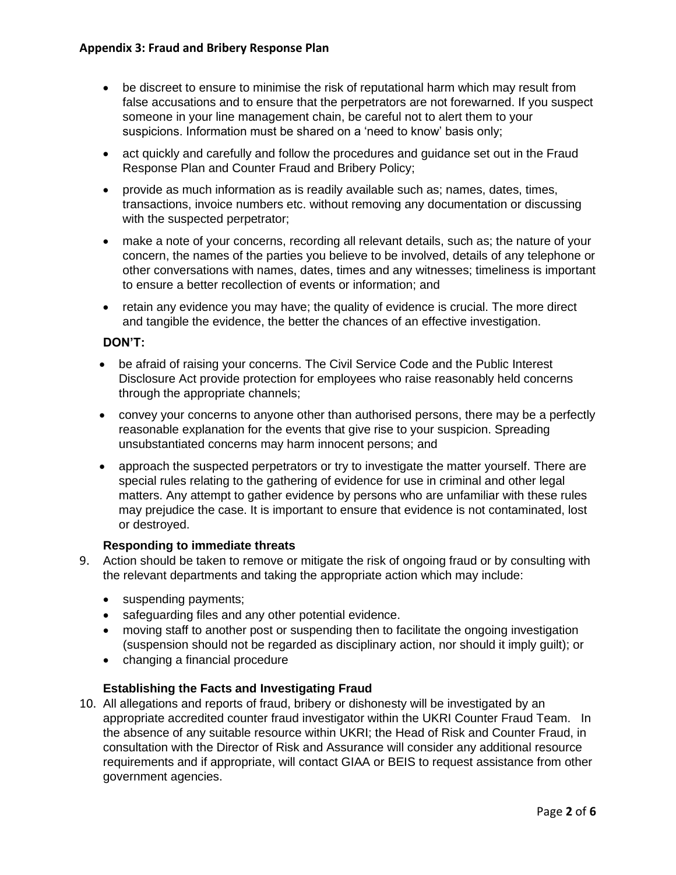- be discreet to ensure to minimise the risk of reputational harm which may result from false accusations and to ensure that the perpetrators are not forewarned. If you suspect someone in your line management chain, be careful not to alert them to your suspicions. Information must be shared on a 'need to know' basis only;
- act quickly and carefully and follow the procedures and guidance set out in the Fraud Response Plan and Counter Fraud and Bribery Policy;
- provide as much information as is readily available such as; names, dates, times, transactions, invoice numbers etc. without removing any documentation or discussing with the suspected perpetrator;
- make a note of your concerns, recording all relevant details, such as; the nature of your concern, the names of the parties you believe to be involved, details of any telephone or other conversations with names, dates, times and any witnesses; timeliness is important to ensure a better recollection of events or information; and
- retain any evidence you may have; the quality of evidence is crucial. The more direct and tangible the evidence, the better the chances of an effective investigation.

## **DON'T:**

- be afraid of raising your concerns. The Civil Service Code and the Public Interest Disclosure Act provide protection for employees who raise reasonably held concerns through the appropriate channels;
- convey your concerns to anyone other than authorised persons, there may be a perfectly reasonable explanation for the events that give rise to your suspicion. Spreading unsubstantiated concerns may harm innocent persons; and
- approach the suspected perpetrators or try to investigate the matter yourself. There are special rules relating to the gathering of evidence for use in criminal and other legal matters. Any attempt to gather evidence by persons who are unfamiliar with these rules may prejudice the case. It is important to ensure that evidence is not contaminated, lost or destroyed.

## **Responding to immediate threats**

- 9. Action should be taken to remove or mitigate the risk of ongoing fraud or by consulting with the relevant departments and taking the appropriate action which may include:
	- suspending payments;
	- safeguarding files and any other potential evidence.
	- moving staff to another post or suspending then to facilitate the ongoing investigation (suspension should not be regarded as disciplinary action, nor should it imply guilt); or
	- changing a financial procedure

## **Establishing the Facts and Investigating Fraud**

10. All allegations and reports of fraud, bribery or dishonesty will be investigated by an appropriate accredited counter fraud investigator within the UKRI Counter Fraud Team. In the absence of any suitable resource within UKRI; the Head of Risk and Counter Fraud, in consultation with the Director of Risk and Assurance will consider any additional resource requirements and if appropriate, will contact GIAA or BEIS to request assistance from other government agencies.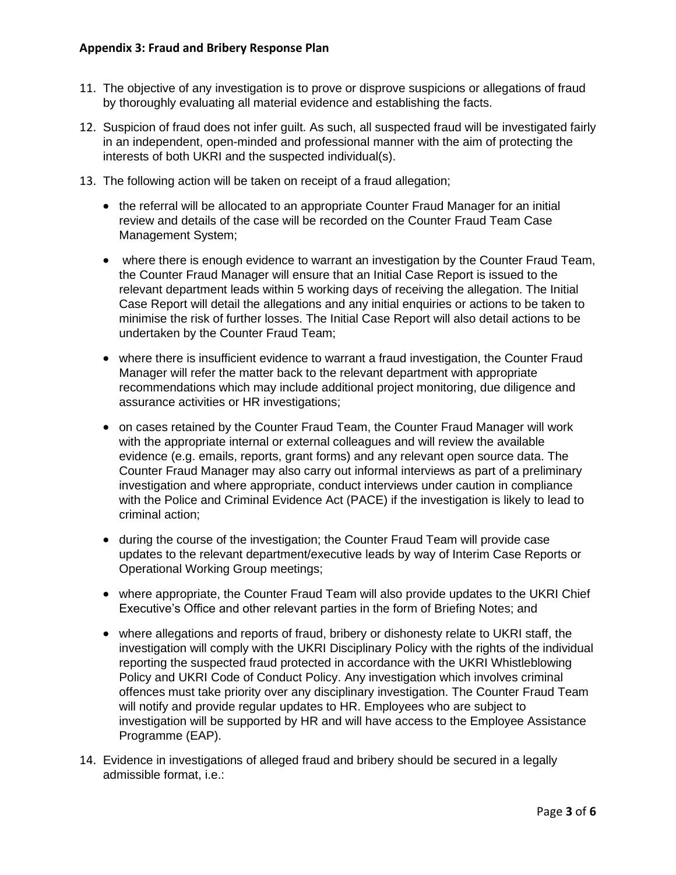- 11. The objective of any investigation is to prove or disprove suspicions or allegations of fraud by thoroughly evaluating all material evidence and establishing the facts.
- 12. Suspicion of fraud does not infer guilt. As such, all suspected fraud will be investigated fairly in an independent, open-minded and professional manner with the aim of protecting the interests of both UKRI and the suspected individual(s).
- 13. The following action will be taken on receipt of a fraud allegation;
	- the referral will be allocated to an appropriate Counter Fraud Manager for an initial review and details of the case will be recorded on the Counter Fraud Team Case Management System;
	- where there is enough evidence to warrant an investigation by the Counter Fraud Team, the Counter Fraud Manager will ensure that an Initial Case Report is issued to the relevant department leads within 5 working days of receiving the allegation. The Initial Case Report will detail the allegations and any initial enquiries or actions to be taken to minimise the risk of further losses. The Initial Case Report will also detail actions to be undertaken by the Counter Fraud Team;
	- where there is insufficient evidence to warrant a fraud investigation, the Counter Fraud Manager will refer the matter back to the relevant department with appropriate recommendations which may include additional project monitoring, due diligence and assurance activities or HR investigations;
	- on cases retained by the Counter Fraud Team, the Counter Fraud Manager will work with the appropriate internal or external colleagues and will review the available evidence (e.g. emails, reports, grant forms) and any relevant open source data. The Counter Fraud Manager may also carry out informal interviews as part of a preliminary investigation and where appropriate, conduct interviews under caution in compliance with the Police and Criminal Evidence Act (PACE) if the investigation is likely to lead to criminal action;
	- during the course of the investigation; the Counter Fraud Team will provide case updates to the relevant department/executive leads by way of Interim Case Reports or Operational Working Group meetings;
	- where appropriate, the Counter Fraud Team will also provide updates to the UKRI Chief Executive's Office and other relevant parties in the form of Briefing Notes; and
	- where allegations and reports of fraud, bribery or dishonesty relate to UKRI staff, the investigation will comply with the UKRI Disciplinary Policy with the rights of the individual reporting the suspected fraud protected in accordance with the UKRI Whistleblowing Policy and UKRI Code of Conduct Policy. Any investigation which involves criminal offences must take priority over any disciplinary investigation. The Counter Fraud Team will notify and provide regular updates to HR. Employees who are subject to investigation will be supported by HR and will have access to the Employee Assistance Programme (EAP).
- 14. Evidence in investigations of alleged fraud and bribery should be secured in a legally admissible format, i.e.: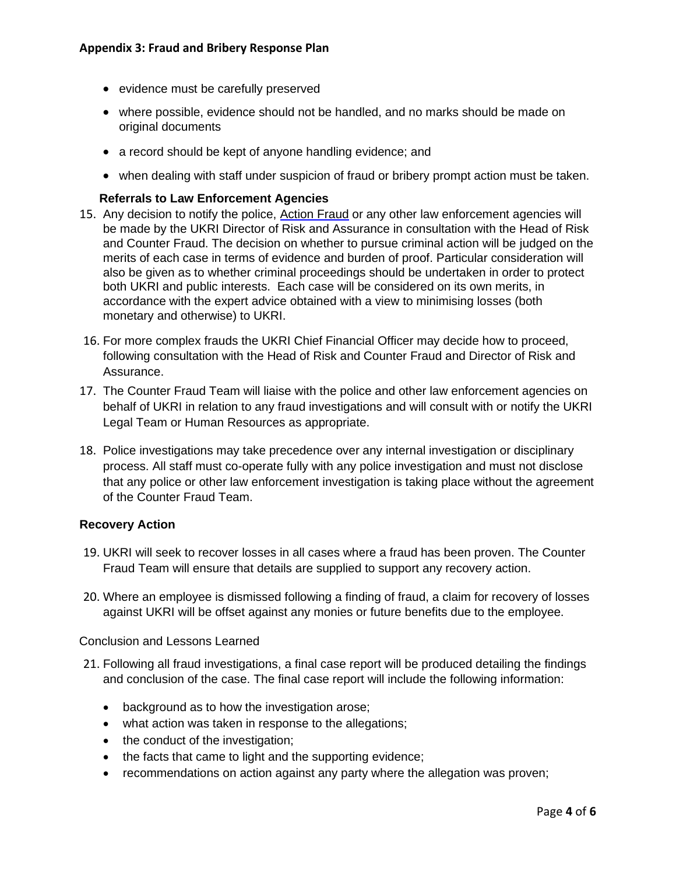- evidence must be carefully preserved
- where possible, evidence should not be handled, and no marks should be made on original documents
- a record should be kept of anyone handling evidence; and
- when dealing with staff under suspicion of fraud or bribery prompt action must be taken.

#### **Referrals to Law Enforcement Agencies**

- 15. Any decision to notify the police, [Action Fraud](https://www.actionfraud.police.uk/contact-us) or any other law enforcement agencies will be made by the UKRI Director of Risk and Assurance in consultation with the Head of Risk and Counter Fraud. The decision on whether to pursue criminal action will be judged on the merits of each case in terms of evidence and burden of proof. Particular consideration will also be given as to whether criminal proceedings should be undertaken in order to protect both UKRI and public interests. Each case will be considered on its own merits, in accordance with the expert advice obtained with a view to minimising losses (both monetary and otherwise) to UKRI.
- 16. For more complex frauds the UKRI Chief Financial Officer may decide how to proceed, following consultation with the Head of Risk and Counter Fraud and Director of Risk and Assurance.
- 17. The Counter Fraud Team will liaise with the police and other law enforcement agencies on behalf of UKRI in relation to any fraud investigations and will consult with or notify the UKRI Legal Team or Human Resources as appropriate.
- 18. Police investigations may take precedence over any internal investigation or disciplinary process. All staff must co-operate fully with any police investigation and must not disclose that any police or other law enforcement investigation is taking place without the agreement of the Counter Fraud Team.

## **Recovery Action**

- 19. UKRI will seek to recover losses in all cases where a fraud has been proven. The Counter Fraud Team will ensure that details are supplied to support any recovery action.
- 20. Where an employee is dismissed following a finding of fraud, a claim for recovery of losses against UKRI will be offset against any monies or future benefits due to the employee.

#### Conclusion and Lessons Learned

- 21. Following all fraud investigations, a final case report will be produced detailing the findings and conclusion of the case. The final case report will include the following information:
	- background as to how the investigation arose;
	- what action was taken in response to the allegations;
	- the conduct of the investigation;
	- the facts that came to light and the supporting evidence;
	- recommendations on action against any party where the allegation was proven;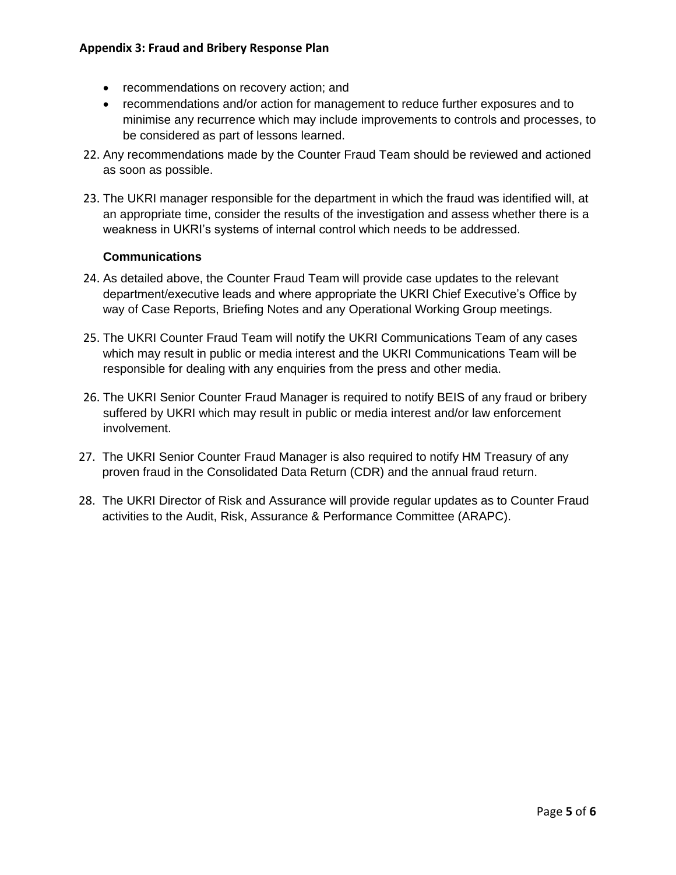## **Appendix 3: Fraud and Bribery Response Plan**

- recommendations on recovery action; and
- recommendations and/or action for management to reduce further exposures and to minimise any recurrence which may include improvements to controls and processes, to be considered as part of lessons learned.
- 22. Any recommendations made by the Counter Fraud Team should be reviewed and actioned as soon as possible.
- 23. The UKRI manager responsible for the department in which the fraud was identified will, at an appropriate time, consider the results of the investigation and assess whether there is a weakness in UKRI's systems of internal control which needs to be addressed.

#### **Communications**

- 24. As detailed above, the Counter Fraud Team will provide case updates to the relevant department/executive leads and where appropriate the UKRI Chief Executive's Office by way of Case Reports, Briefing Notes and any Operational Working Group meetings.
- 25. The UKRI Counter Fraud Team will notify the UKRI Communications Team of any cases which may result in public or media interest and the UKRI Communications Team will be responsible for dealing with any enquiries from the press and other media.
- 26. The UKRI Senior Counter Fraud Manager is required to notify BEIS of any fraud or bribery suffered by UKRI which may result in public or media interest and/or law enforcement involvement.
- 27. The UKRI Senior Counter Fraud Manager is also required to notify HM Treasury of any proven fraud in the Consolidated Data Return (CDR) and the annual fraud return.
- 28. The UKRI Director of Risk and Assurance will provide regular updates as to Counter Fraud activities to the Audit, Risk, Assurance & Performance Committee (ARAPC).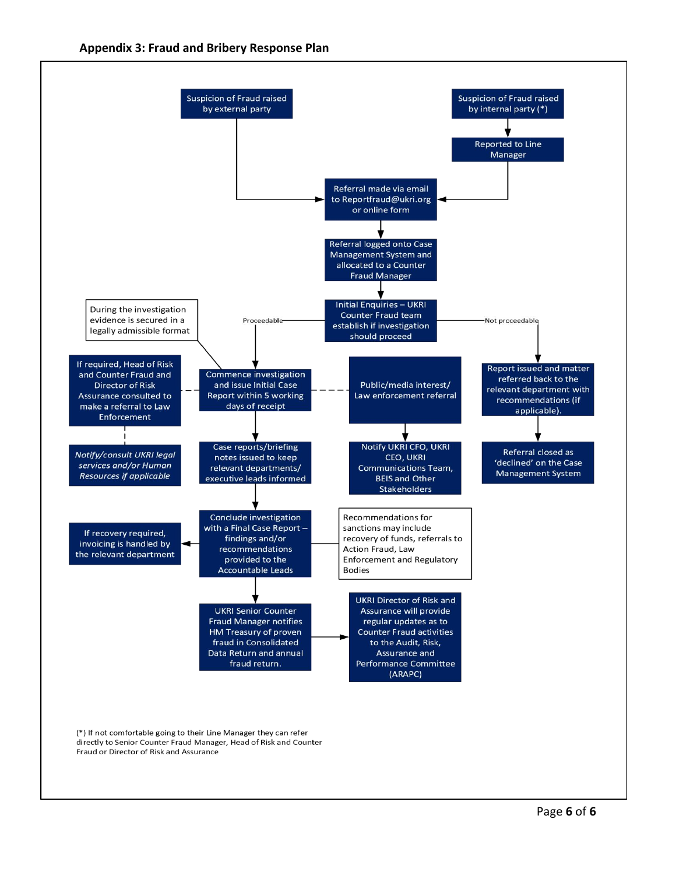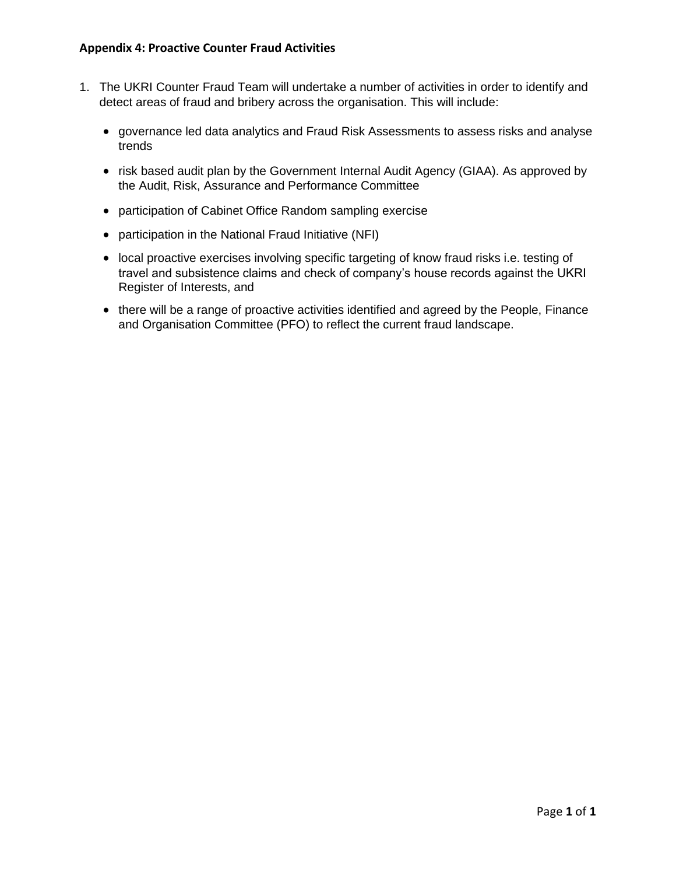- 1. The UKRI Counter Fraud Team will undertake a number of activities in order to identify and detect areas of fraud and bribery across the organisation. This will include:
	- governance led data analytics and Fraud Risk Assessments to assess risks and analyse trends
	- risk based audit plan by the Government Internal Audit Agency (GIAA). As approved by the Audit, Risk, Assurance and Performance Committee
	- participation of Cabinet Office Random sampling exercise
	- participation in the National Fraud Initiative (NFI)
	- local proactive exercises involving specific targeting of know fraud risks i.e. testing of travel and subsistence claims and check of company's house records against the UKRI Register of Interests, and
	- there will be a range of proactive activities identified and agreed by the People, Finance and Organisation Committee (PFO) to reflect the current fraud landscape.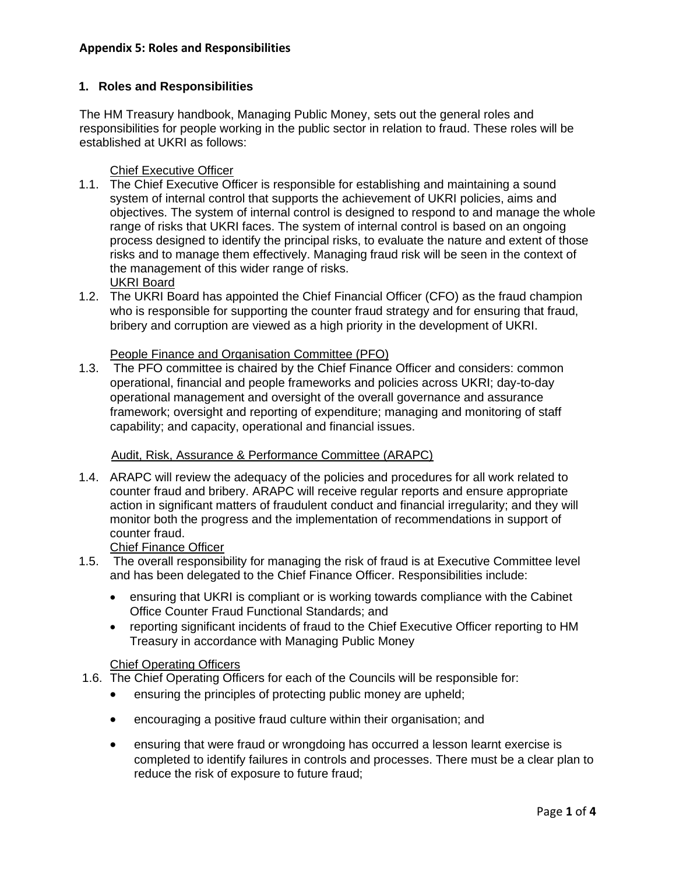## **Appendix 5: Roles and Responsibilities**

#### **1. Roles and Responsibilities**

The HM Treasury handbook, Managing Public Money, sets out the general roles and responsibilities for people working in the public sector in relation to fraud. These roles will be established at UKRI as follows:

#### Chief Executive Officer

- 1.1. The Chief Executive Officer is responsible for establishing and maintaining a sound system of internal control that supports the achievement of UKRI policies, aims and objectives. The system of internal control is designed to respond to and manage the whole range of risks that UKRI faces. The system of internal control is based on an ongoing process designed to identify the principal risks, to evaluate the nature and extent of those risks and to manage them effectively. Managing fraud risk will be seen in the context of the management of this wider range of risks. UKRI Board
- 1.2. The UKRI Board has appointed the Chief Financial Officer (CFO) as the fraud champion who is responsible for supporting the counter fraud strategy and for ensuring that fraud, bribery and corruption are viewed as a high priority in the development of UKRI.

People Finance and Organisation Committee (PFO)

1.3. The PFO committee is chaired by the Chief Finance Officer and considers: common operational, financial and people frameworks and policies across UKRI; day-to-day operational management and oversight of the overall governance and assurance framework; oversight and reporting of expenditure; managing and monitoring of staff capability; and capacity, operational and financial issues.

#### Audit, Risk, Assurance & Performance Committee (ARAPC)

1.4. ARAPC will review the adequacy of the policies and procedures for all work related to counter fraud and bribery. ARAPC will receive regular reports and ensure appropriate action in significant matters of fraudulent conduct and financial irregularity; and they will monitor both the progress and the implementation of recommendations in support of counter fraud.

Chief Finance Officer

- 1.5. The overall responsibility for managing the risk of fraud is at Executive Committee level and has been delegated to the Chief Finance Officer. Responsibilities include:
	- ensuring that UKRI is compliant or is working towards compliance with the Cabinet Office Counter Fraud Functional Standards; and
	- reporting significant incidents of fraud to the Chief Executive Officer reporting to HM Treasury in accordance with Managing Public Money

#### Chief Operating Officers

- 1.6. The Chief Operating Officers for each of the Councils will be responsible for:
	- ensuring the principles of protecting public money are upheld:
	- encouraging a positive fraud culture within their organisation; and
	- ensuring that were fraud or wrongdoing has occurred a lesson learnt exercise is completed to identify failures in controls and processes. There must be a clear plan to reduce the risk of exposure to future fraud;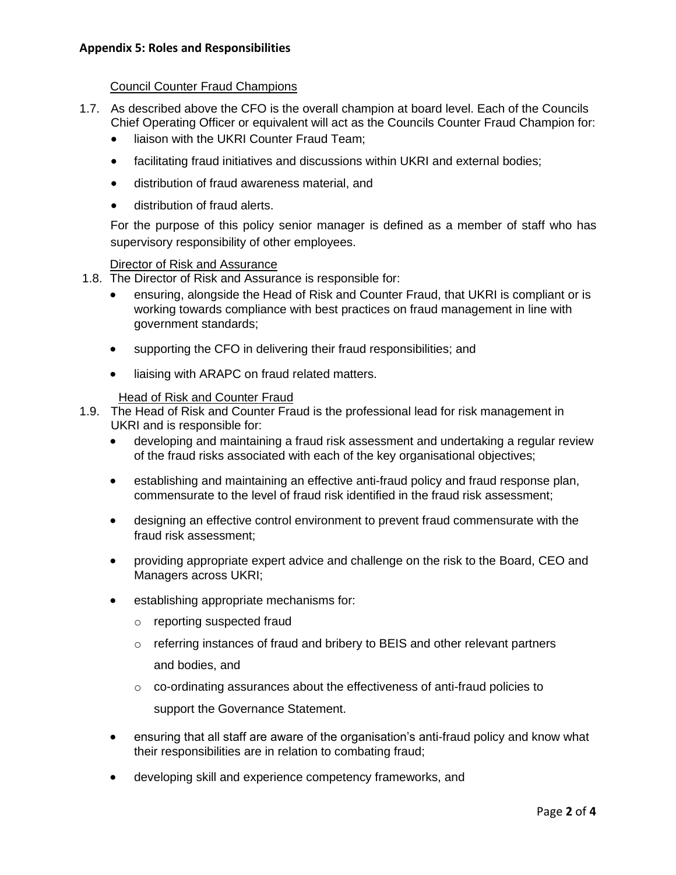## Council Counter Fraud Champions

- 1.7. As described above the CFO is the overall champion at board level. Each of the Councils Chief Operating Officer or equivalent will act as the Councils Counter Fraud Champion for:
	- liaison with the UKRI Counter Fraud Team;
	- facilitating fraud initiatives and discussions within UKRI and external bodies;
	- distribution of fraud awareness material, and
	- distribution of fraud alerts.

For the purpose of this policy senior manager is defined as a member of staff who has supervisory responsibility of other employees.

#### Director of Risk and Assurance

- 1.8. The Director of Risk and Assurance is responsible for:
	- ensuring, alongside the Head of Risk and Counter Fraud, that UKRI is compliant or is working towards compliance with best practices on fraud management in line with government standards;
	- supporting the CFO in delivering their fraud responsibilities; and
	- liaising with ARAPC on fraud related matters.

Head of Risk and Counter Fraud

- 1.9. The Head of Risk and Counter Fraud is the professional lead for risk management in UKRI and is responsible for:
	- developing and maintaining a fraud risk assessment and undertaking a regular review of the fraud risks associated with each of the key organisational objectives;
	- establishing and maintaining an effective anti-fraud policy and fraud response plan, commensurate to the level of fraud risk identified in the fraud risk assessment;
	- designing an effective control environment to prevent fraud commensurate with the fraud risk assessment;
	- providing appropriate expert advice and challenge on the risk to the Board, CEO and Managers across UKRI;
	- establishing appropriate mechanisms for:
		- o reporting suspected fraud
		- o referring instances of fraud and bribery to BEIS and other relevant partners and bodies, and
		- o co-ordinating assurances about the effectiveness of anti-fraud policies to support the Governance Statement.
	- ensuring that all staff are aware of the organisation's anti-fraud policy and know what their responsibilities are in relation to combating fraud;
	- developing skill and experience competency frameworks, and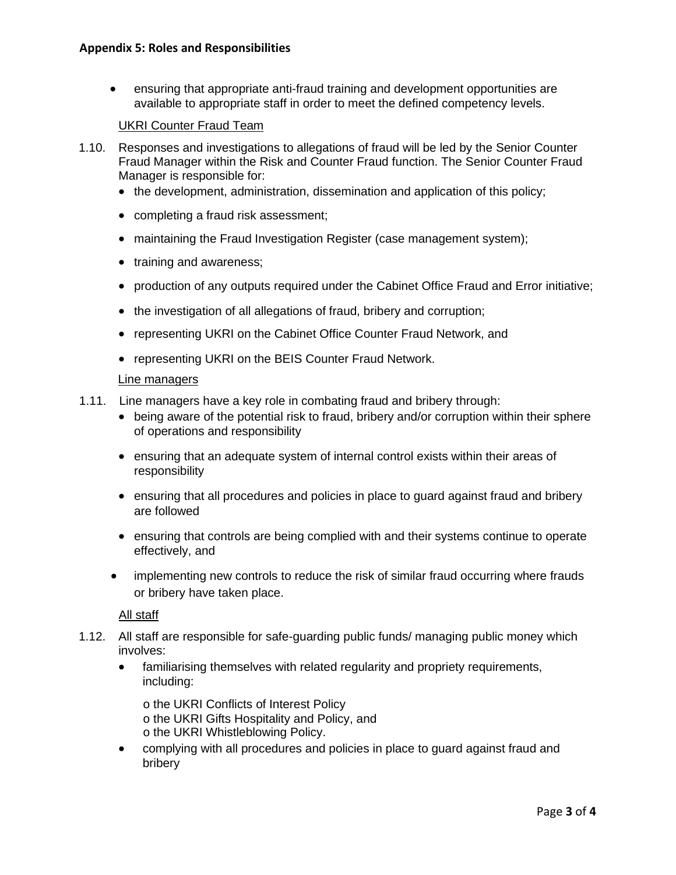• ensuring that appropriate anti-fraud training and development opportunities are available to appropriate staff in order to meet the defined competency levels.

#### UKRI Counter Fraud Team

- 1.10. Responses and investigations to allegations of fraud will be led by the Senior Counter Fraud Manager within the Risk and Counter Fraud function. The Senior Counter Fraud Manager is responsible for:
	- the development, administration, dissemination and application of this policy;
	- completing a fraud risk assessment;
	- maintaining the Fraud Investigation Register (case management system);
	- training and awareness;
	- production of any outputs required under the Cabinet Office Fraud and Error initiative;
	- the investigation of all allegations of fraud, bribery and corruption;
	- representing UKRI on the Cabinet Office Counter Fraud Network, and
	- representing UKRI on the BEIS Counter Fraud Network.

#### Line managers

- 1.11. Line managers have a key role in combating fraud and bribery through:
	- being aware of the potential risk to fraud, bribery and/or corruption within their sphere of operations and responsibility
	- ensuring that an adequate system of internal control exists within their areas of responsibility
	- ensuring that all procedures and policies in place to quard against fraud and bribery are followed
	- ensuring that controls are being complied with and their systems continue to operate effectively, and
	- implementing new controls to reduce the risk of similar fraud occurring where frauds or bribery have taken place.

## All staff

- 1.12. All staff are responsible for safe-guarding public funds/ managing public money which involves:
	- familiarising themselves with related regularity and propriety requirements, including:

o the UKRI Conflicts of Interest Policy o the UKRI Gifts Hospitality and Policy, and o the UKRI Whistleblowing Policy.

• complying with all procedures and policies in place to guard against fraud and bribery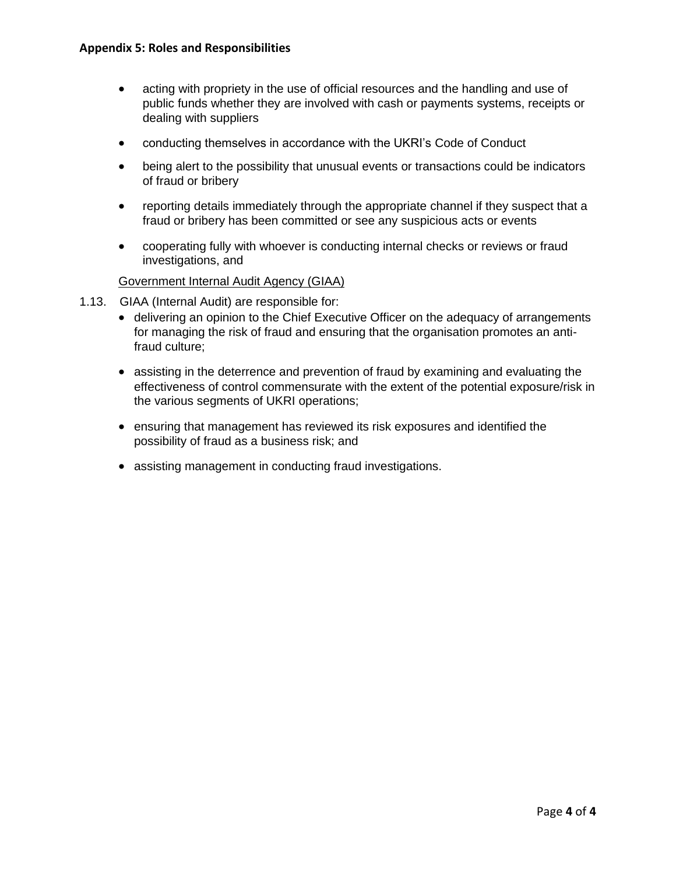- acting with propriety in the use of official resources and the handling and use of public funds whether they are involved with cash or payments systems, receipts or dealing with suppliers
- conducting themselves in accordance with the UKRI's Code of Conduct
- being alert to the possibility that unusual events or transactions could be indicators of fraud or bribery
- reporting details immediately through the appropriate channel if they suspect that a fraud or bribery has been committed or see any suspicious acts or events
- cooperating fully with whoever is conducting internal checks or reviews or fraud investigations, and

## Government Internal Audit Agency (GIAA)

- 1.13. GIAA (Internal Audit) are responsible for:
	- delivering an opinion to the Chief Executive Officer on the adequacy of arrangements for managing the risk of fraud and ensuring that the organisation promotes an antifraud culture;
	- assisting in the deterrence and prevention of fraud by examining and evaluating the effectiveness of control commensurate with the extent of the potential exposure/risk in the various segments of UKRI operations;
	- ensuring that management has reviewed its risk exposures and identified the possibility of fraud as a business risk; and
	- assisting management in conducting fraud investigations.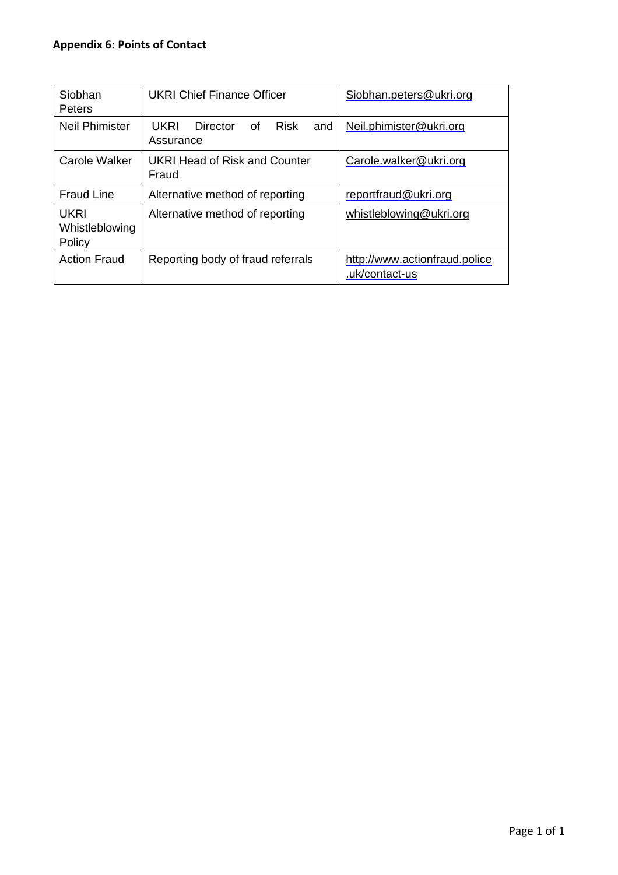| Siobhan<br>Peters                       | UKRI Chief Finance Officer                                | Siobhan.peters@ukri.org                         |
|-----------------------------------------|-----------------------------------------------------------|-------------------------------------------------|
| Neil Phimister                          | UKRI<br>Director<br><b>Risk</b><br>of<br>and<br>Assurance | Neil.phimister@ukri.org                         |
| Carole Walker                           | <b>UKRI Head of Risk and Counter</b><br>Fraud             | Carole.walker@ukri.org                          |
| <b>Fraud Line</b>                       | Alternative method of reporting                           | reportfraud@ukri.org                            |
| <b>UKRI</b><br>Whistleblowing<br>Policy | Alternative method of reporting                           | whistleblowing@ukri.org                         |
| <b>Action Fraud</b>                     | Reporting body of fraud referrals                         | http://www.actionfraud.police<br>.uk/contact-us |